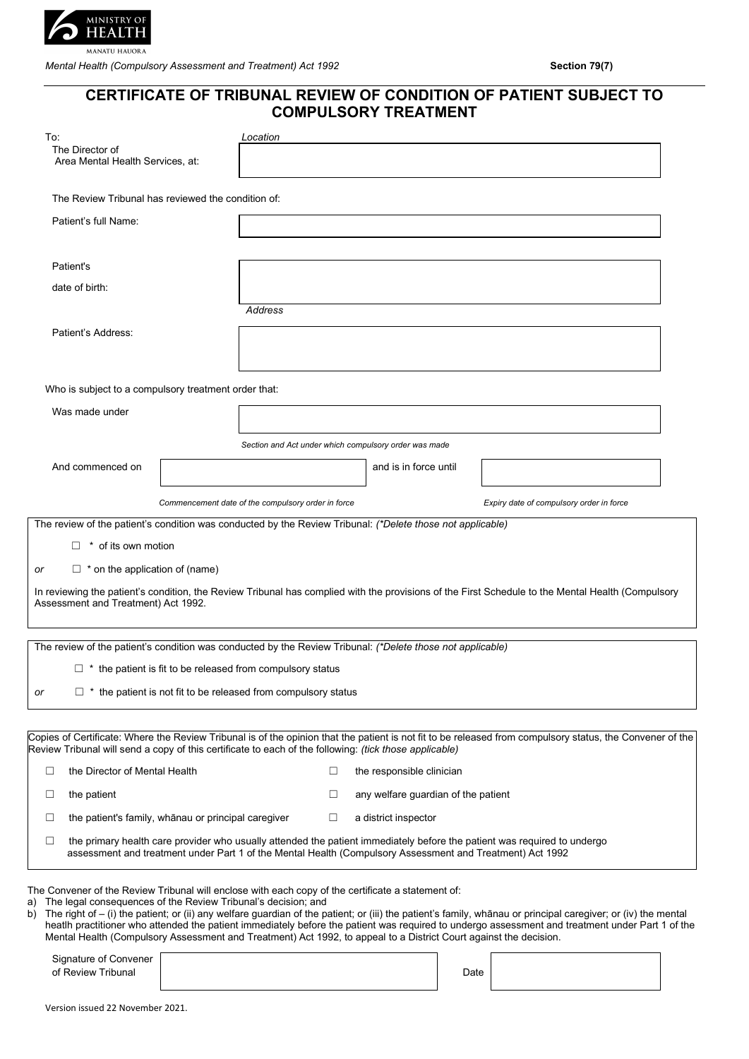

*Mental Health (Compulsory Assessment and Treatment) Act 1992* **Section 79(7) Section 79(7)** 

# **CERTIFICATE OF TRIBUNAL REVIEW OF CONDITION OF PATIENT SUBJECT TO COMPULSORY TREATMENT**

| To:                                                                                                                                                                                                                            |  | Location                                                                                                          |                                     |      |                                                                                                                                                                                                                                                                                                                   |  |
|--------------------------------------------------------------------------------------------------------------------------------------------------------------------------------------------------------------------------------|--|-------------------------------------------------------------------------------------------------------------------|-------------------------------------|------|-------------------------------------------------------------------------------------------------------------------------------------------------------------------------------------------------------------------------------------------------------------------------------------------------------------------|--|
| The Director of<br>Area Mental Health Services, at:                                                                                                                                                                            |  |                                                                                                                   |                                     |      |                                                                                                                                                                                                                                                                                                                   |  |
| The Review Tribunal has reviewed the condition of:                                                                                                                                                                             |  |                                                                                                                   |                                     |      |                                                                                                                                                                                                                                                                                                                   |  |
| Patient's full Name:                                                                                                                                                                                                           |  |                                                                                                                   |                                     |      |                                                                                                                                                                                                                                                                                                                   |  |
|                                                                                                                                                                                                                                |  |                                                                                                                   |                                     |      |                                                                                                                                                                                                                                                                                                                   |  |
| Patient's                                                                                                                                                                                                                      |  |                                                                                                                   |                                     |      |                                                                                                                                                                                                                                                                                                                   |  |
| date of birth:                                                                                                                                                                                                                 |  |                                                                                                                   |                                     |      |                                                                                                                                                                                                                                                                                                                   |  |
|                                                                                                                                                                                                                                |  | Address                                                                                                           |                                     |      |                                                                                                                                                                                                                                                                                                                   |  |
| Patient's Address:                                                                                                                                                                                                             |  |                                                                                                                   |                                     |      |                                                                                                                                                                                                                                                                                                                   |  |
|                                                                                                                                                                                                                                |  |                                                                                                                   |                                     |      |                                                                                                                                                                                                                                                                                                                   |  |
| Who is subject to a compulsory treatment order that:                                                                                                                                                                           |  |                                                                                                                   |                                     |      |                                                                                                                                                                                                                                                                                                                   |  |
| Was made under                                                                                                                                                                                                                 |  |                                                                                                                   |                                     |      |                                                                                                                                                                                                                                                                                                                   |  |
|                                                                                                                                                                                                                                |  |                                                                                                                   |                                     |      |                                                                                                                                                                                                                                                                                                                   |  |
|                                                                                                                                                                                                                                |  | Section and Act under which compulsory order was made                                                             |                                     |      |                                                                                                                                                                                                                                                                                                                   |  |
| And commenced on                                                                                                                                                                                                               |  |                                                                                                                   | and is in force until               |      |                                                                                                                                                                                                                                                                                                                   |  |
|                                                                                                                                                                                                                                |  | Commencement date of the compulsory order in force                                                                |                                     |      | Expiry date of compulsory order in force                                                                                                                                                                                                                                                                          |  |
| The review of the patient's condition was conducted by the Review Tribunal: (*Delete those not applicable)                                                                                                                     |  |                                                                                                                   |                                     |      |                                                                                                                                                                                                                                                                                                                   |  |
| $\Box$ * of its own motion                                                                                                                                                                                                     |  |                                                                                                                   |                                     |      |                                                                                                                                                                                                                                                                                                                   |  |
| $\Box$ * on the application of (name)<br>or                                                                                                                                                                                    |  |                                                                                                                   |                                     |      |                                                                                                                                                                                                                                                                                                                   |  |
|                                                                                                                                                                                                                                |  |                                                                                                                   |                                     |      | In reviewing the patient's condition, the Review Tribunal has complied with the provisions of the First Schedule to the Mental Health (Compulsory                                                                                                                                                                 |  |
| Assessment and Treatment) Act 1992.                                                                                                                                                                                            |  |                                                                                                                   |                                     |      |                                                                                                                                                                                                                                                                                                                   |  |
|                                                                                                                                                                                                                                |  |                                                                                                                   |                                     |      |                                                                                                                                                                                                                                                                                                                   |  |
| The review of the patient's condition was conducted by the Review Tribunal: (*Delete those not applicable)                                                                                                                     |  |                                                                                                                   |                                     |      |                                                                                                                                                                                                                                                                                                                   |  |
|                                                                                                                                                                                                                                |  | $\Box$ * the patient is fit to be released from compulsory status                                                 |                                     |      |                                                                                                                                                                                                                                                                                                                   |  |
| or                                                                                                                                                                                                                             |  | $\Box$ * the patient is not fit to be released from compulsory status                                             |                                     |      |                                                                                                                                                                                                                                                                                                                   |  |
|                                                                                                                                                                                                                                |  |                                                                                                                   |                                     |      |                                                                                                                                                                                                                                                                                                                   |  |
| Review Tribunal will send a copy of this certificate to each of the following: (tick those applicable)                                                                                                                         |  |                                                                                                                   |                                     |      | Copies of Certificate: Where the Review Tribunal is of the opinion that the patient is not fit to be released from compulsory status, the Convener of the                                                                                                                                                         |  |
| the Director of Mental Health<br>□                                                                                                                                                                                             |  | □                                                                                                                 | the responsible clinician           |      |                                                                                                                                                                                                                                                                                                                   |  |
| the patient<br>□                                                                                                                                                                                                               |  | □                                                                                                                 | any welfare guardian of the patient |      |                                                                                                                                                                                                                                                                                                                   |  |
| the patient's family, whānau or principal caregiver<br>$\Box$                                                                                                                                                                  |  | □                                                                                                                 | a district inspector                |      |                                                                                                                                                                                                                                                                                                                   |  |
| □                                                                                                                                                                                                                              |  | assessment and treatment under Part 1 of the Mental Health (Compulsory Assessment and Treatment) Act 1992         |                                     |      | the primary health care provider who usually attended the patient immediately before the patient was required to undergo                                                                                                                                                                                          |  |
| The Convener of the Review Tribunal will enclose with each copy of the certificate a statement of:<br>The legal consequences of the Review Tribunal's decision; and<br>a)<br>b)<br>Signature of Convener<br>of Review Tribunal |  | Mental Health (Compulsory Assessment and Treatment) Act 1992, to appeal to a District Court against the decision. |                                     | Date | The right of – (i) the patient; or (ii) any welfare guardian of the patient; or (iii) the patient's family, whanau or principal caregiver; or (iv) the mental<br>heatlh practitioner who attended the patient immediately before the patient was required to undergo assessment and treatment under Part 1 of the |  |
|                                                                                                                                                                                                                                |  |                                                                                                                   |                                     |      |                                                                                                                                                                                                                                                                                                                   |  |
| Version issued 22 November 2021.                                                                                                                                                                                               |  |                                                                                                                   |                                     |      |                                                                                                                                                                                                                                                                                                                   |  |